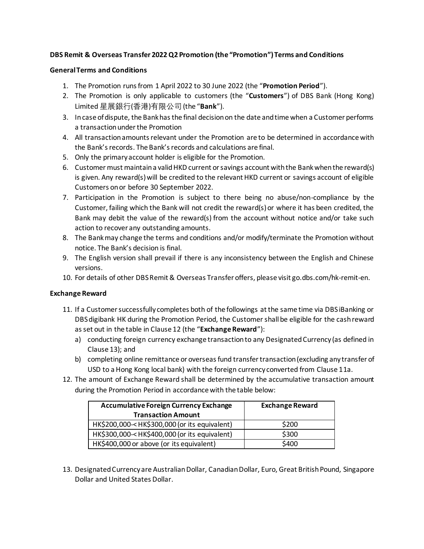# **DBS Remit & Overseas Transfer 2022 Q2 Promotion (the "Promotion") Terms and Conditions**

#### **General Terms and Conditions**

- 1. The Promotion runs from 1 April 2022 to 30 June 2022 (the "**Promotion Period**").
- 2. The Promotion is only applicable to customers (the "**Customers**") of DBS Bank (Hong Kong) Limited 星展銀行(香港)有限公司(the "**Bank**").
- 3. In case of dispute, the Bank has the final decision on the date and time when a Customer performs a transaction under the Promotion
- 4. All transaction amounts relevant under the Promotion are to be determined in accordance with the Bank's records. The Bank's records and calculations are final.
- 5. Only the primary account holder is eligible for the Promotion.
- 6. Customer must maintain a valid HKD current or savings account with the Bank when the reward(s) is given. Any reward(s) will be credited to the relevant HKD current or savings account of eligible Customers on or before 30 September 2022.
- 7. Participation in the Promotion is subject to there being no abuse/non-compliance by the Customer, failing which the Bank will not credit the reward(s) or where it has been credited, the Bank may debit the value of the reward(s) from the account without notice and/or take such action to recover any outstanding amounts.
- 8. The Bank may change the terms and conditions and/or modify/terminate the Promotion without notice. The Bank's decision is final.
- 9. The English version shall prevail if there is any inconsistency between the English and Chinese versions.
- 10. For details of other DBS Remit & Overseas Transfer offers, please visit go.dbs.com/hk-remit-en.

#### **Exchange Reward**

- 11. If a Customer successfully completes both of the followings at the same time via DBS iBanking or DBS digibank HK during the Promotion Period, the Customershall be eligible for the cash reward as set out in the table in Clause 12 (the "**Exchange Reward**"):
	- a) conducting foreign currency exchange transaction to any Designated Currency (as defined in Clause 13); and
	- b) completing online remittance or overseas fund transfer transaction (excluding any transfer of USD to a Hong Kong local bank) with the foreign currency converted from Clause 11a.
- 12. The amount of Exchange Reward shall be determined by the accumulative transaction amount during the Promotion Period in accordance with the table below:

| <b>Accumulative Foreign Currency Exchange</b>                                              | <b>Exchange Reward</b> |
|--------------------------------------------------------------------------------------------|------------------------|
| <b>Transaction Amount</b>                                                                  |                        |
| HK\$200,000- <hk\$300,000 (or="" equivalent)<="" its="" td=""><td>\$200</td></hk\$300,000> | \$200                  |
| HK\$300,000- <hk\$400,000 (or="" equivalent)<="" its="" td=""><td>\$300</td></hk\$400,000> | \$300                  |
| HK\$400,000 or above (or its equivalent)                                                   | \$400                  |

13. Designated Currency are Australian Dollar, Canadian Dollar, Euro, Great British Pound, Singapore Dollar and United States Dollar.